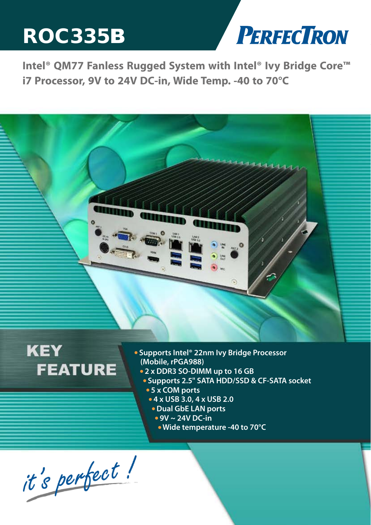# ROC335B



**Intel® QM77 Fanless Rugged System with Intel® Ivy Bridge Core™ i7 Processor, 9V to 24V DC-in, Wide Temp. -40 to 70°C**



# **KEY FEATURE**

- **Supports Intel® 22nm Ivy Bridge Processor (Mobile, rPGA988)**
	- **2 x DDR3 SO-DIMM up to 16 GB**
	- **Supports 2.5" SATA HDD/SSD & CF-SATA socket 5 x COM ports** 
		- **4 x USB 3.0, 4 x USB 2.0**
		- **Dual GbE LAN ports**
		- **9V ~ 24V DC-in**
			- **Wide temperature -40 to 70°C**

*www.perfectron.com*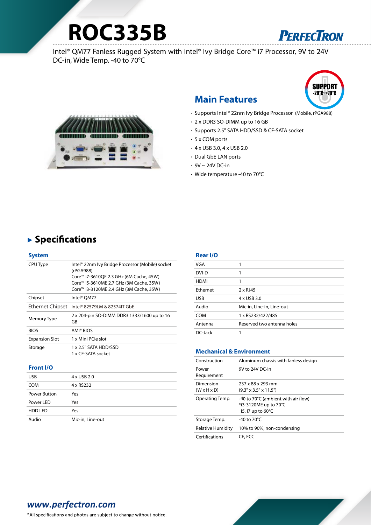# **ROC335B**



Intel® QM77 Fanless Rugged System with Intel® Ivy Bridge Core™ i7 Processor, 9V to 24V DC-in, Wide Temp. -40 to 70°C



## **Main Features**



- Supports Intel® 22nm Ivy Bridge Processor (Mobile, rPGA988)
- 2 x DDR3 SO-DIMM up to 16 GB
- Supports 2.5" SATA HDD/SSD & CF-SATA socket
- 5 x COM ports
- 4 x USB 3.0, 4 x USB 2.0
- Dual GbE LAN ports
- $\cdot$  9V  $\sim$  24V DC-in
- Wide temperature -40 to 70°C

## ▶ Specifications

| <b>System</b>           |                                                                                                                                                                                                |
|-------------------------|------------------------------------------------------------------------------------------------------------------------------------------------------------------------------------------------|
| CPU Type                | Intel® 22nm Ivy Bridge Processor (Mobile) socket<br>(rPGA988)<br>Core™ i7-3610QE 2.3 GHz (6M Cache, 45W)<br>Core™ i5-3610ME 2.7 GHz (3M Cache, 35W)<br>Core™ i3-3120ME 2.4 GHz (3M Cache, 35W) |
| Chipset                 | Intel® OM77                                                                                                                                                                                    |
| <b>Ethernet Chipset</b> | Intel® 82579LM & 82574IT GbE                                                                                                                                                                   |
| Memory Type             | 2 x 204-pin SO-DIMM DDR3 1333/1600 up to 16<br>GB                                                                                                                                              |
| <b>BIOS</b>             | AMI® BIOS                                                                                                                                                                                      |
| <b>Expansion Slot</b>   | 1 x Mini PCIe slot                                                                                                                                                                             |
| Storage                 | 1 x 2.5" SATA HDD/SSD<br>1 x CF-SATA socket                                                                                                                                                    |

#### **Front I/O**

| <b>USB</b>     | 4 x USB 2.0      |
|----------------|------------------|
| <b>COM</b>     | 4 x RS232        |
| Power Button   | Yes              |
| Power LED      | Yes              |
| <b>HDD LED</b> | Yes              |
| Audio          | Mic-in, Line-out |

#### **Rear I/O**

| VGA         |                            |
|-------------|----------------------------|
| DVI-D       |                            |
| <b>HDMI</b> |                            |
| Ethernet    | $2 \times$ RJ45            |
| <b>USB</b>  | 4 x USB 3.0                |
| Audio       | Mic-in, Line-in, Line-out  |
| <b>COM</b>  | 1 x RS232/422/485          |
| Antenna     | Reserved two antenna holes |
| DC-Jack     |                            |

#### **Mechanical & Environment**

| Construction                         | Aluminum chassis with fanless design                                                        |
|--------------------------------------|---------------------------------------------------------------------------------------------|
| Power<br>Requirement                 | 9V to 24V DC-in                                                                             |
| Dimension<br>$(W \times H \times D)$ | 237 x 88 x 293 mm<br>$(9.3" \times 3.5" \times 11.5")$                                      |
| Operating Temp.                      | -40 to 70°C (ambient with air flow)<br>*i3-3120ME up to 70°C<br>i5, i7 up to $60^{\circ}$ C |
| Storage Temp.                        | -40 to $70^{\circ}$ C                                                                       |
| <b>Relative Humidity</b>             | 10% to 90%, non-condensing                                                                  |
| Certifications                       | CE, FCC                                                                                     |

#### *www.perfectron.com*

\*All specifications and photos are subject to change without notice.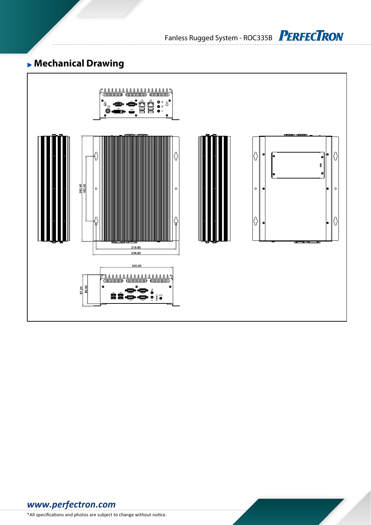Fanless Rugged System - ROC335B PERFECTRON

# **Mechanical Drawing**



*www.perfectron.com*

\*All specifications and photos are subject to change without notice.